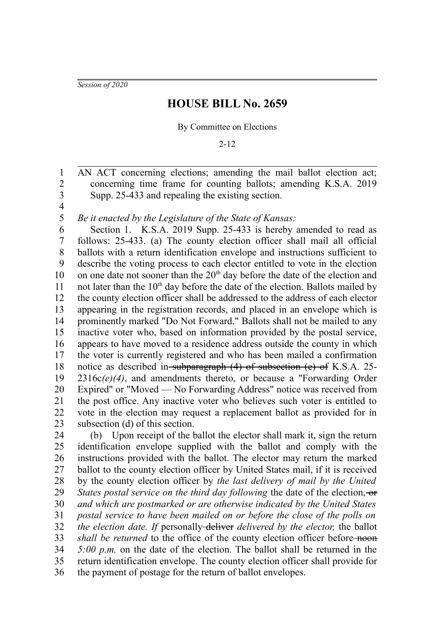*Session of 2020*

# **HOUSE BILL No. 2659**

### By Committee on Elections

2-12

AN ACT concerning elections; amending the mail ballot election act; concerning time frame for counting ballots; amending K.S.A. 2019 Supp. 25-433 and repealing the existing section. 1 2 3

4 5

*Be it enacted by the Legislature of the State of Kansas:*

Section 1. K.S.A. 2019 Supp. 25-433 is hereby amended to read as follows: 25-433. (a) The county election officer shall mail all official ballots with a return identification envelope and instructions sufficient to describe the voting process to each elector entitled to vote in the election on one date not sooner than the  $20<sup>th</sup>$  day before the date of the election and not later than the  $10<sup>th</sup>$  day before the date of the election. Ballots mailed by the county election officer shall be addressed to the address of each elector appearing in the registration records, and placed in an envelope which is prominently marked "Do Not Forward." Ballots shall not be mailed to any inactive voter who, based on information provided by the postal service, appears to have moved to a residence address outside the county in which the voter is currently registered and who has been mailed a confirmation notice as described in-subparagraph (4) of subsection (e) of K.S.A. 25-2316c*(e)(4)*, and amendments thereto, or because a "Forwarding Order Expired" or "Moved — No Forwarding Address" notice was received from the post office. Any inactive voter who believes such voter is entitled to vote in the election may request a replacement ballot as provided for in subsection (d) of this section. 6 7 8 9 10 11 12 13 14 15 16 17 18 19 20 21 22 23

(b) Upon receipt of the ballot the elector shall mark it, sign the return identification envelope supplied with the ballot and comply with the instructions provided with the ballot. The elector may return the marked ballot to the county election officer by United States mail, if it is received by the county election officer by *the last delivery of mail by the United States postal service on the third day following the date of the election, or and which are postmarked or are otherwise indicated by the United States postal service to have been mailed on or before the close of the polls on the election date. If* personally-deliver *delivered by the elector*, the ballot *shall be returned* to the office of the county election officer before noon *5:00 p.m.* on the date of the election. The ballot shall be returned in the return identification envelope. The county election officer shall provide for the payment of postage for the return of ballot envelopes. 24 25 26 27 28 29 30 31 32 33 34 35 36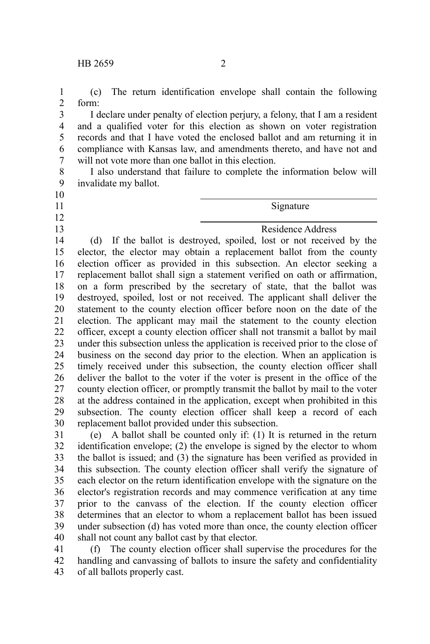(c) The return identification envelope shall contain the following form: 1 2

I declare under penalty of election perjury, a felony, that I am a resident and a qualified voter for this election as shown on voter registration records and that I have voted the enclosed ballot and am returning it in compliance with Kansas law, and amendments thereto, and have not and will not vote more than one ballot in this election. 3 4 5 6 7

I also understand that failure to complete the information below will invalidate my ballot. 8 9

 $\overline{a}$ 

 $\overline{a}$ 

## 10

- 11
- 12
- 13

### Signature

Residence Address

(d) If the ballot is destroyed, spoiled, lost or not received by the elector, the elector may obtain a replacement ballot from the county election officer as provided in this subsection. An elector seeking a replacement ballot shall sign a statement verified on oath or affirmation, on a form prescribed by the secretary of state, that the ballot was destroyed, spoiled, lost or not received. The applicant shall deliver the statement to the county election officer before noon on the date of the election. The applicant may mail the statement to the county election officer, except a county election officer shall not transmit a ballot by mail under this subsection unless the application is received prior to the close of business on the second day prior to the election. When an application is timely received under this subsection, the county election officer shall deliver the ballot to the voter if the voter is present in the office of the county election officer, or promptly transmit the ballot by mail to the voter at the address contained in the application, except when prohibited in this subsection. The county election officer shall keep a record of each replacement ballot provided under this subsection. 14 15 16 17 18 19 20 21 22 23 24 25 26 27 28 29 30

(e) A ballot shall be counted only if: (1) It is returned in the return identification envelope; (2) the envelope is signed by the elector to whom the ballot is issued; and (3) the signature has been verified as provided in this subsection. The county election officer shall verify the signature of each elector on the return identification envelope with the signature on the elector's registration records and may commence verification at any time prior to the canvass of the election. If the county election officer determines that an elector to whom a replacement ballot has been issued under subsection (d) has voted more than once, the county election officer shall not count any ballot cast by that elector. 31 32 33 34 35 36 37 38 39 40

(f) The county election officer shall supervise the procedures for the handling and canvassing of ballots to insure the safety and confidentiality of all ballots properly cast. 41 42 43